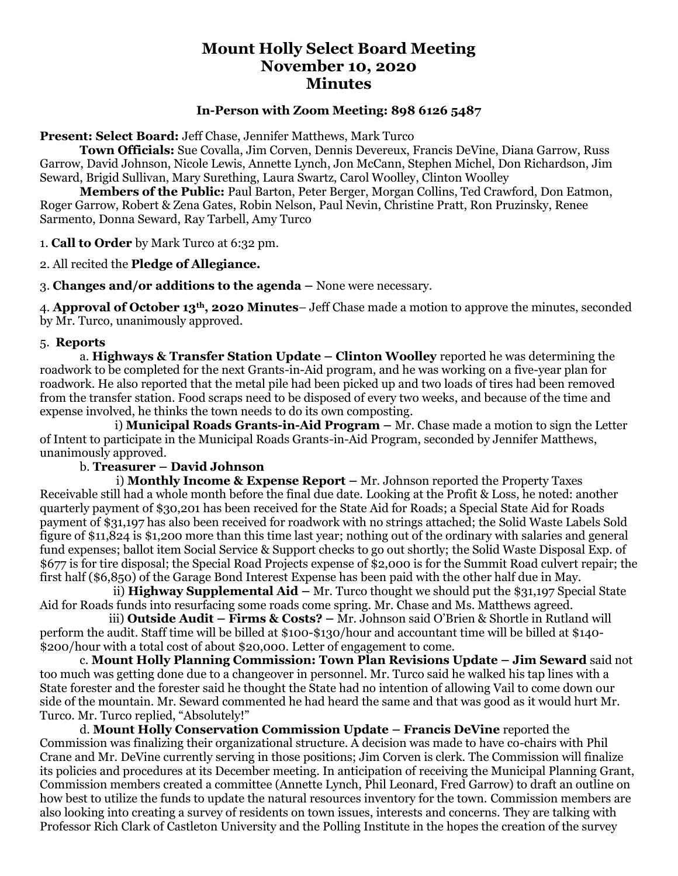# **Mount Holly Select Board Meeting November 10, 2020 Minutes**

### **In-Person with Zoom Meeting: 898 6126 5487**

**Present: Select Board:** Jeff Chase, Jennifer Matthews, Mark Turco

**Town Officials:** Sue Covalla, Jim Corven, Dennis Devereux, Francis DeVine, Diana Garrow, Russ Garrow, David Johnson, Nicole Lewis, Annette Lynch, Jon McCann, Stephen Michel, Don Richardson, Jim Seward, Brigid Sullivan, Mary Surething, Laura Swartz, Carol Woolley, Clinton Woolley

**Members of the Public:** Paul Barton, Peter Berger, Morgan Collins, Ted Crawford, Don Eatmon, Roger Garrow, Robert & Zena Gates, Robin Nelson, Paul Nevin, Christine Pratt, Ron Pruzinsky, Renee Sarmento, Donna Seward, Ray Tarbell, Amy Turco

1. **Call to Order** by Mark Turco at 6:32 pm.

2. All recited the **Pledge of Allegiance.**

3. **Changes and/or additions to the agenda –** None were necessary.

4. **Approval of October 13th, 2020 Minutes**– Jeff Chase made a motion to approve the minutes, seconded by Mr. Turco, unanimously approved.

#### 5. **Reports**

a. **Highways & Transfer Station Update – Clinton Woolley** reported he was determining the roadwork to be completed for the next Grants-in-Aid program, and he was working on a five-year plan for roadwork. He also reported that the metal pile had been picked up and two loads of tires had been removed from the transfer station. Food scraps need to be disposed of every two weeks, and because of the time and expense involved, he thinks the town needs to do its own composting.

 i) **Municipal Roads Grants-in-Aid Program –** Mr. Chase made a motion to sign the Letter of Intent to participate in the Municipal Roads Grants-in-Aid Program, seconded by Jennifer Matthews, unanimously approved.

#### b. **Treasurer – David Johnson**

 i) **Monthly Income & Expense Report –** Mr. Johnson reported the Property Taxes Receivable still had a whole month before the final due date. Looking at the Profit & Loss, he noted: another quarterly payment of \$30,201 has been received for the State Aid for Roads; a Special State Aid for Roads payment of \$31,197 has also been received for roadwork with no strings attached; the Solid Waste Labels Sold figure of \$11,824 is \$1,200 more than this time last year; nothing out of the ordinary with salaries and general fund expenses; ballot item Social Service & Support checks to go out shortly; the Solid Waste Disposal Exp. of \$677 is for tire disposal; the Special Road Projects expense of \$2,000 is for the Summit Road culvert repair; the first half (\$6,850) of the Garage Bond Interest Expense has been paid with the other half due in May.

 ii) **Highway Supplemental Aid –** Mr. Turco thought we should put the \$31,197 Special State Aid for Roads funds into resurfacing some roads come spring. Mr. Chase and Ms. Matthews agreed.

 iii) **Outside Audit – Firms & Costs? –** Mr. Johnson said O'Brien & Shortle in Rutland will perform the audit. Staff time will be billed at \$100-\$130/hour and accountant time will be billed at \$140- \$200/hour with a total cost of about \$20,000. Letter of engagement to come.

c. **Mount Holly Planning Commission: Town Plan Revisions Update – Jim Seward** said not too much was getting done due to a changeover in personnel. Mr. Turco said he walked his tap lines with a State forester and the forester said he thought the State had no intention of allowing Vail to come down our side of the mountain. Mr. Seward commented he had heard the same and that was good as it would hurt Mr. Turco. Mr. Turco replied, "Absolutely!"

d. **Mount Holly Conservation Commission Update – Francis DeVine** reported the Commission was finalizing their organizational structure. A decision was made to have co-chairs with Phil Crane and Mr. DeVine currently serving in those positions; Jim Corven is clerk. The Commission will finalize its policies and procedures at its December meeting. In anticipation of receiving the Municipal Planning Grant, Commission members created a committee (Annette Lynch, Phil Leonard, Fred Garrow) to draft an outline on how best to utilize the funds to update the natural resources inventory for the town. Commission members are also looking into creating a survey of residents on town issues, interests and concerns. They are talking with Professor Rich Clark of Castleton University and the Polling Institute in the hopes the creation of the survey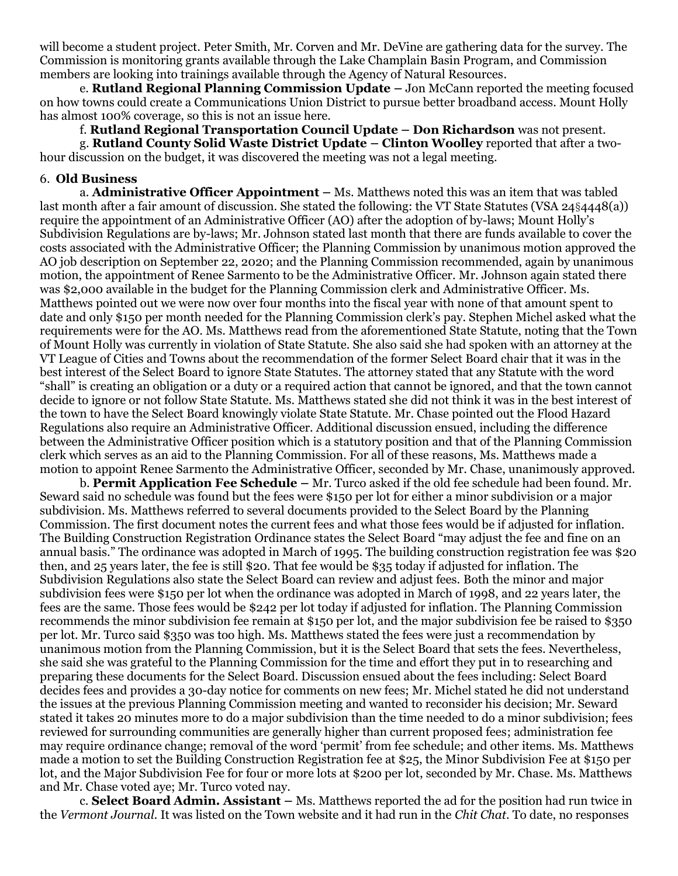will become a student project. Peter Smith, Mr. Corven and Mr. DeVine are gathering data for the survey. The Commission is monitoring grants available through the Lake Champlain Basin Program, and Commission members are looking into trainings available through the Agency of Natural Resources.

e. **Rutland Regional Planning Commission Update –** Jon McCann reported the meeting focused on how towns could create a Communications Union District to pursue better broadband access. Mount Holly has almost 100% coverage, so this is not an issue here.

f. **Rutland Regional Transportation Council Update – Don Richardson** was not present.

g. **Rutland County Solid Waste District Update – Clinton Woolley** reported that after a twohour discussion on the budget, it was discovered the meeting was not a legal meeting.

#### 6. **Old Business**

a. **Administrative Officer Appointment –** Ms. Matthews noted this was an item that was tabled last month after a fair amount of discussion. She stated the following: the VT State Statutes (VSA 24§4448(a)) require the appointment of an Administrative Officer (AO) after the adoption of by-laws; Mount Holly's Subdivision Regulations are by-laws; Mr. Johnson stated last month that there are funds available to cover the costs associated with the Administrative Officer; the Planning Commission by unanimous motion approved the AO job description on September 22, 2020; and the Planning Commission recommended, again by unanimous motion, the appointment of Renee Sarmento to be the Administrative Officer. Mr. Johnson again stated there was \$2,000 available in the budget for the Planning Commission clerk and Administrative Officer. Ms. Matthews pointed out we were now over four months into the fiscal year with none of that amount spent to date and only \$150 per month needed for the Planning Commission clerk's pay. Stephen Michel asked what the requirements were for the AO. Ms. Matthews read from the aforementioned State Statute, noting that the Town of Mount Holly was currently in violation of State Statute. She also said she had spoken with an attorney at the VT League of Cities and Towns about the recommendation of the former Select Board chair that it was in the best interest of the Select Board to ignore State Statutes. The attorney stated that any Statute with the word "shall" is creating an obligation or a duty or a required action that cannot be ignored, and that the town cannot decide to ignore or not follow State Statute. Ms. Matthews stated she did not think it was in the best interest of the town to have the Select Board knowingly violate State Statute. Mr. Chase pointed out the Flood Hazard Regulations also require an Administrative Officer. Additional discussion ensued, including the difference between the Administrative Officer position which is a statutory position and that of the Planning Commission clerk which serves as an aid to the Planning Commission. For all of these reasons, Ms. Matthews made a motion to appoint Renee Sarmento the Administrative Officer, seconded by Mr. Chase, unanimously approved.

b. **Permit Application Fee Schedule –** Mr. Turco asked if the old fee schedule had been found. Mr. Seward said no schedule was found but the fees were \$150 per lot for either a minor subdivision or a major subdivision. Ms. Matthews referred to several documents provided to the Select Board by the Planning Commission. The first document notes the current fees and what those fees would be if adjusted for inflation. The Building Construction Registration Ordinance states the Select Board "may adjust the fee and fine on an annual basis." The ordinance was adopted in March of 1995. The building construction registration fee was \$20 then, and 25 years later, the fee is still \$20. That fee would be \$35 today if adjusted for inflation. The Subdivision Regulations also state the Select Board can review and adjust fees. Both the minor and major subdivision fees were \$150 per lot when the ordinance was adopted in March of 1998, and 22 years later, the fees are the same. Those fees would be \$242 per lot today if adjusted for inflation. The Planning Commission recommends the minor subdivision fee remain at \$150 per lot, and the major subdivision fee be raised to \$350 per lot. Mr. Turco said \$350 was too high. Ms. Matthews stated the fees were just a recommendation by unanimous motion from the Planning Commission, but it is the Select Board that sets the fees. Nevertheless, she said she was grateful to the Planning Commission for the time and effort they put in to researching and preparing these documents for the Select Board. Discussion ensued about the fees including: Select Board decides fees and provides a 30-day notice for comments on new fees; Mr. Michel stated he did not understand the issues at the previous Planning Commission meeting and wanted to reconsider his decision; Mr. Seward stated it takes 20 minutes more to do a major subdivision than the time needed to do a minor subdivision; fees reviewed for surrounding communities are generally higher than current proposed fees; administration fee may require ordinance change; removal of the word 'permit' from fee schedule; and other items. Ms. Matthews made a motion to set the Building Construction Registration fee at \$25, the Minor Subdivision Fee at \$150 per lot, and the Major Subdivision Fee for four or more lots at \$200 per lot, seconded by Mr. Chase. Ms. Matthews and Mr. Chase voted aye; Mr. Turco voted nay.

c. **Select Board Admin. Assistant –** Ms. Matthews reported the ad for the position had run twice in the *Vermont Journal.* It was listed on the Town website and it had run in the *Chit Chat*. To date, no responses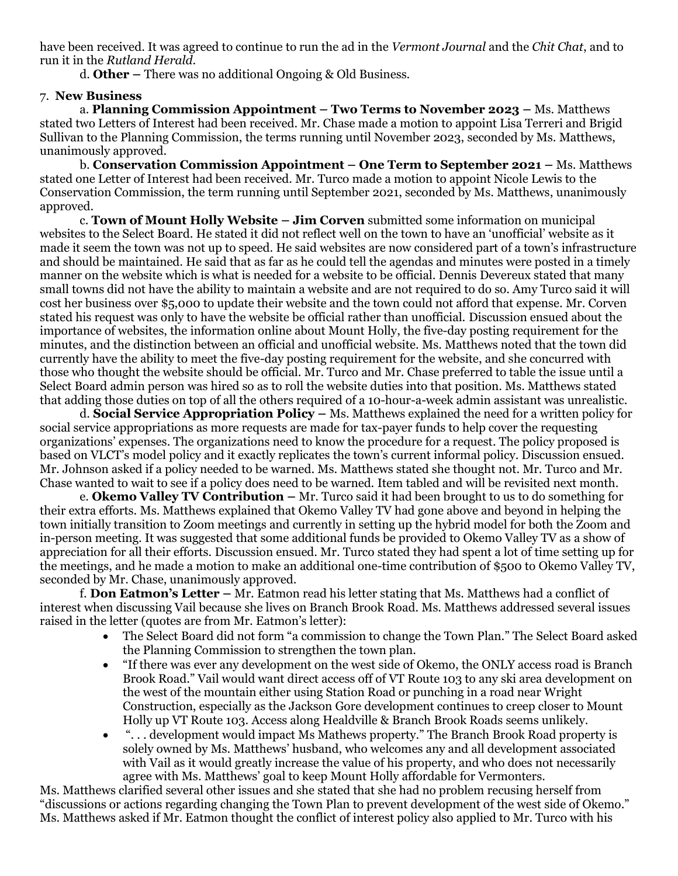have been received. It was agreed to continue to run the ad in the *Vermont Journal* and the *Chit Chat*, and to run it in the *Rutland Herald*.

d. **Other –** There was no additional Ongoing & Old Business.

## 7. **New Business**

a. **Planning Commission Appointment – Two Terms to November 2023 –** Ms. Matthews stated two Letters of Interest had been received. Mr. Chase made a motion to appoint Lisa Terreri and Brigid Sullivan to the Planning Commission, the terms running until November 2023, seconded by Ms. Matthews, unanimously approved.

b. **Conservation Commission Appointment – One Term to September 2021 –** Ms. Matthews stated one Letter of Interest had been received. Mr. Turco made a motion to appoint Nicole Lewis to the Conservation Commission, the term running until September 2021, seconded by Ms. Matthews, unanimously approved.

c. **Town of Mount Holly Website – Jim Corven** submitted some information on municipal websites to the Select Board. He stated it did not reflect well on the town to have an 'unofficial' website as it made it seem the town was not up to speed. He said websites are now considered part of a town's infrastructure and should be maintained. He said that as far as he could tell the agendas and minutes were posted in a timely manner on the website which is what is needed for a website to be official. Dennis Devereux stated that many small towns did not have the ability to maintain a website and are not required to do so. Amy Turco said it will cost her business over \$5,000 to update their website and the town could not afford that expense. Mr. Corven stated his request was only to have the website be official rather than unofficial. Discussion ensued about the importance of websites, the information online about Mount Holly, the five-day posting requirement for the minutes, and the distinction between an official and unofficial website. Ms. Matthews noted that the town did currently have the ability to meet the five-day posting requirement for the website, and she concurred with those who thought the website should be official. Mr. Turco and Mr. Chase preferred to table the issue until a Select Board admin person was hired so as to roll the website duties into that position. Ms. Matthews stated that adding those duties on top of all the others required of a 10-hour-a-week admin assistant was unrealistic.

d. **Social Service Appropriation Policy –** Ms. Matthews explained the need for a written policy for social service appropriations as more requests are made for tax-payer funds to help cover the requesting organizations' expenses. The organizations need to know the procedure for a request. The policy proposed is based on VLCT's model policy and it exactly replicates the town's current informal policy. Discussion ensued. Mr. Johnson asked if a policy needed to be warned. Ms. Matthews stated she thought not. Mr. Turco and Mr. Chase wanted to wait to see if a policy does need to be warned. Item tabled and will be revisited next month.

e. **Okemo Valley TV Contribution –** Mr. Turco said it had been brought to us to do something for their extra efforts. Ms. Matthews explained that Okemo Valley TV had gone above and beyond in helping the town initially transition to Zoom meetings and currently in setting up the hybrid model for both the Zoom and in-person meeting. It was suggested that some additional funds be provided to Okemo Valley TV as a show of appreciation for all their efforts. Discussion ensued. Mr. Turco stated they had spent a lot of time setting up for the meetings, and he made a motion to make an additional one-time contribution of \$500 to Okemo Valley TV, seconded by Mr. Chase, unanimously approved.

f. **Don Eatmon's Letter –** Mr. Eatmon read his letter stating that Ms. Matthews had a conflict of interest when discussing Vail because she lives on Branch Brook Road. Ms. Matthews addressed several issues raised in the letter (quotes are from Mr. Eatmon's letter):

- The Select Board did not form "a commission to change the Town Plan." The Select Board asked the Planning Commission to strengthen the town plan.
- "If there was ever any development on the west side of Okemo, the ONLY access road is Branch Brook Road." Vail would want direct access off of VT Route 103 to any ski area development on the west of the mountain either using Station Road or punching in a road near Wright Construction, especially as the Jackson Gore development continues to creep closer to Mount Holly up VT Route 103. Access along Healdville & Branch Brook Roads seems unlikely.
- ". . . development would impact Ms Mathews property." The Branch Brook Road property is solely owned by Ms. Matthews' husband, who welcomes any and all development associated with Vail as it would greatly increase the value of his property, and who does not necessarily agree with Ms. Matthews' goal to keep Mount Holly affordable for Vermonters.

Ms. Matthews clarified several other issues and she stated that she had no problem recusing herself from "discussions or actions regarding changing the Town Plan to prevent development of the west side of Okemo." Ms. Matthews asked if Mr. Eatmon thought the conflict of interest policy also applied to Mr. Turco with his